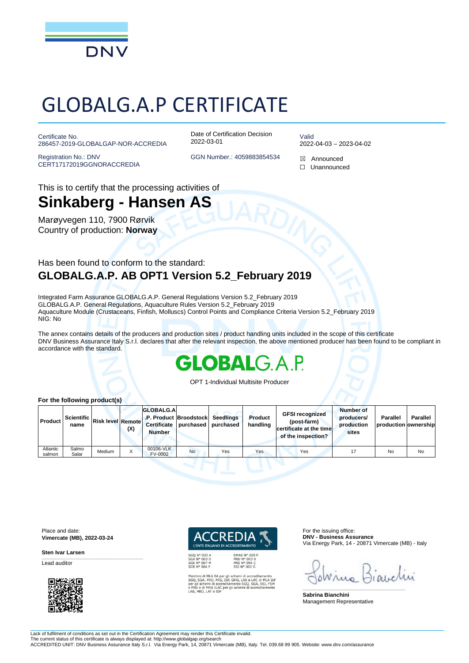

# GLOBALG.A.P CERTIFICATE

Certificate No. 286457-2019-GLOBALGAP-NOR-ACCREDIA

Registration No.: DNV CERT17172019GGNORACCREDIA Date of Certification Decision 2022-03-01

Valid 2022-04-03 – 2023-04-02

GGN Number.: 4059883854534 **⊠** Announced ☐ Unannounced

This is to certify that the processing activities of

### **Sinkaberg - Hansen AS**

Marøyvegen 110, 7900 Rørvik Country of production: **Norway**

#### Has been found to conform to the standard: **GLOBALG.A.P. AB OPT1 Version 5.2\_February 2019**

Integrated Farm Assurance GLOBALG.A.P. General Regulations Version 5.2\_February 2019 GLOBALG.A.P. General Regulations, Aquaculture Rules Version 5.2\_February 2019 Aquaculture Module (Crustaceans, Finfish, Molluscs) Control Points and Compliance Criteria Version 5.2\_February 2019 NIG: No

The annex contains details of the producers and production sites / product handling units included in the scope of this certificate DNV Business Assurance Italy S.r.l. declares that after the relevant inspection, the above mentioned producer has been found to be compliant in accordance with the standard.

## OBAL

OPT 1-Individual Multisite Producer

| <b>Product</b>     | Scientific<br>name | <b>IRisk level Remotel</b> | (X) | <b>GLOBALG.A</b><br><b>Certificate</b><br><b>Number</b> | .P. Product Broodstock<br>purchased | <b>Seedlings</b><br>purchased | <b>Product</b><br>handling | <b>GFSI recognized</b><br>(post-farm)<br>certificate at the time<br>of the inspection? | Number of<br>producers/<br>production<br>sites | <b>Parallel</b><br>production ownership | Parallel |
|--------------------|--------------------|----------------------------|-----|---------------------------------------------------------|-------------------------------------|-------------------------------|----------------------------|----------------------------------------------------------------------------------------|------------------------------------------------|-----------------------------------------|----------|
| Atlantic<br>salmon | Salmo<br>Salar     | Medium                     |     | 00106-VLK<br><b>FV-0002</b>                             | No                                  | Yes                           | Yes                        | Yes                                                                                    |                                                | No                                      | No       |

Place and date: **Vimercate (MB), 2022-03-24**

\_\_\_\_\_\_\_\_\_\_\_\_\_\_\_\_\_\_\_\_\_\_\_\_\_\_\_\_\_\_\_\_\_\_\_\_\_\_\_\_\_\_\_\_\_\_\_\_\_\_\_\_\_\_\_\_\_\_\_\_\_\_\_\_\_\_\_\_\_\_\_\_\_\_\_\_\_\_

**Sten Ivar Larsen**

Lead auditor



Membro di MLA EA per gli schemi di accreditamento<br>SGQ, SGA, PRD, PRS, ISP, GHG, LAB e LAT, di MLA IAF<br>per gli schemi di accreditamento SGQ, SGA, SSI, FSM<br>e PRD e di MRA ILAC per gli schemi di accreditamento<br>LAB, MED, LAT e

**PRS N° 094 C<br>SSI N° 094 C** 

For the issuing office: **DNV - Business Assurance** Via Energy Park, 14 - 20871 Vimercate (MB) - Italy

 $0M_A$ 

\_\_\_\_\_\_\_\_\_\_\_\_\_\_\_\_\_\_\_\_\_\_\_\_\_\_\_\_\_\_\_\_\_\_\_\_\_\_\_\_\_\_\_\_\_\_\_\_\_\_\_\_\_\_\_\_\_\_\_\_\_\_\_\_\_\_\_\_\_\_\_\_\_\_\_\_\_\_

**Sabrina Bianchini** Management Representative

Lack of fulfilment of conditions as set out in the Certification Agreement may render this Certificate invalid. The current status of this certificate is always displayed at: http://www.globalgap.org/search

ACCREDITED UNIT: DNV Business Assurance Italy S.r.l. Via Energy Park, 14, 20871 Vimercate (MB), Italy. Tel. 039.68 99 905. Website: www.dnv.com/assurance

#### **For the following product(s)**